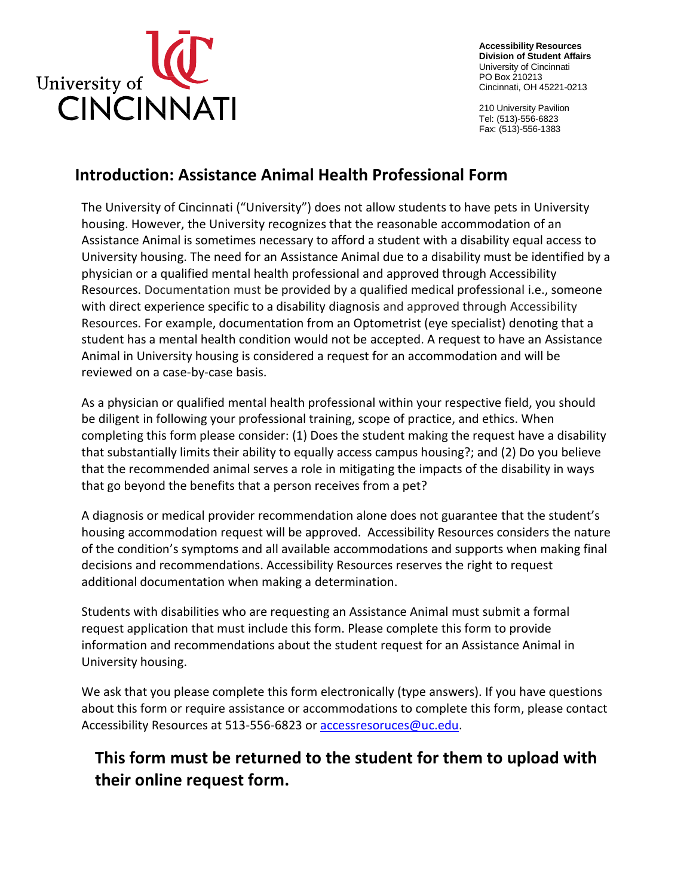

**Accessibility Resources Division of Student Affairs**  University of Cincinnati PO Box 210213 Cincinnati, OH 45221-0213

210 University Pavilion Tel: (513)-556-6823 Fax: (513)-556-1383

## **Introduction: Assistance Animal Health Professional Form**

 The University of Cincinnati ("University") does not allow students to have pets in University housing. However, the University recognizes that the reasonable accommodation of an Assistance Animal is sometimes necessary to afford a student with a disability equal access to University housing. The need for an Assistance Animal due to a disability must be identified by a physician or a qualified mental health professional and approved through Accessibility Resources. Documentation must be provided by a qualified medical professional i.e., someone with direct experience specific to a disability diagnosis and approved through Accessibility Resources. For example, documentation from an Optometrist (eye specialist) denoting that a student has a mental health condition would not be accepted. A request to have an Assistance Animal in University housing is considered a request for an accommodation and will be reviewed on a case-by-case basis.

 As a physician or qualified mental health professional within your respective field, you should be diligent in following your professional training, scope of practice, and ethics. When completing this form please consider: (1) Does the student making the request have a disability that substantially limits their ability to equally access campus housing?; and (2) Do you believe that the recommended animal serves a role in mitigating the impacts of the disability in ways that go beyond the benefits that a person receives from a pet?

 A diagnosis or medical provider recommendation alone does not guarantee that the student's housing accommodation request will be approved. Accessibility Resources considers the nature of the condition's symptoms and all available accommodations and supports when making final decisions and recommendations. Accessibility Resources reserves the right to request additional documentation when making a determination.

 Students with disabilities who are requesting an Assistance Animal must submit a formal request application that must include this form. Please complete this form to provide information and recommendations about the student request for an Assistance Animal in University housing.

 We ask that you please complete this form electronically (type answers). If you have questions about this form or require assistance or accommodations to complete this form, please contact Accessibility Resources at 513-556-6823 or accessresoruces@uc.edu.

## **This form must be returned to the student for them to upload with their online request form.**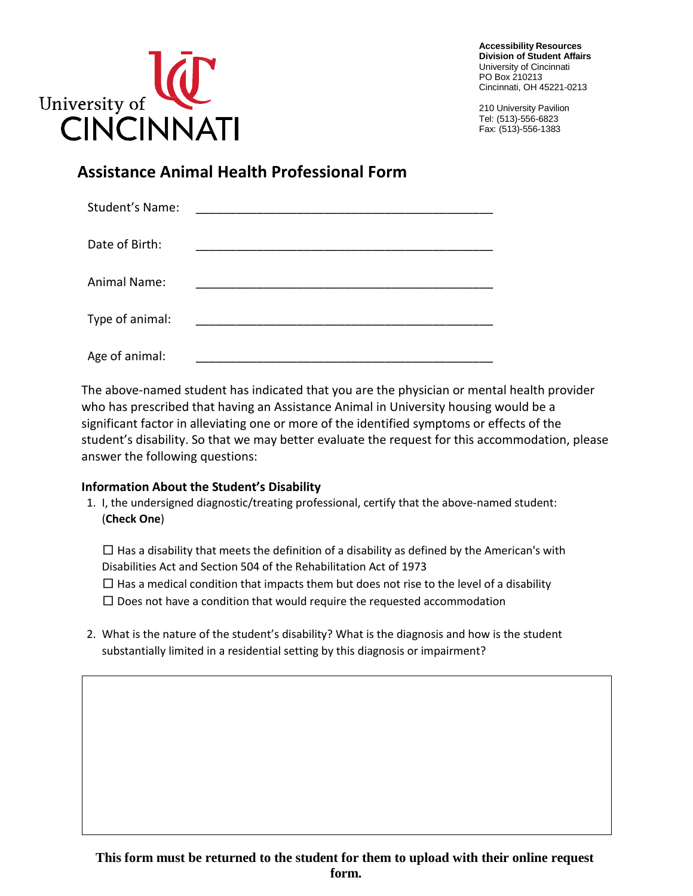

**Accessibility Resources Division of Student Affairs**  University of Cincinnati PO Box 210213 Cincinnati, OH 45221-0213

210 University Pavilion Tel: (513)-556-6823 Fax: (513)-556-1383

## **Assistance Animal Health Professional Form**

| Student's Name:     |  |
|---------------------|--|
| Date of Birth:      |  |
| <b>Animal Name:</b> |  |
| Type of animal:     |  |
| Age of animal:      |  |

 The above-named student has indicated that you are the physician or mental health provider who has prescribed that having an Assistance Animal in University housing would be a significant factor in alleviating one or more of the identified symptoms or effects of the student's disability. So that we may better evaluate the request for this accommodation, please answer the following questions:

#### **Information About the Student's Disability**

1. I, the undersigned diagnostic/treating professional, certify that the above-named student: (**Check One**)

 Disabilities Act and Section 504 of the Rehabilitation Act of 1973  $\square$  Has a disability that meets the definition of a disability as defined by the American's with  $\square$  Has a medical condition that impacts them but does not rise to the level of a disability  $\square$  Does not have a condition that would require the requested accommodation

2. What is the nature of the student's disability? What is the diagnosis and how is the student substantially limited in a residential setting by this diagnosis or impairment?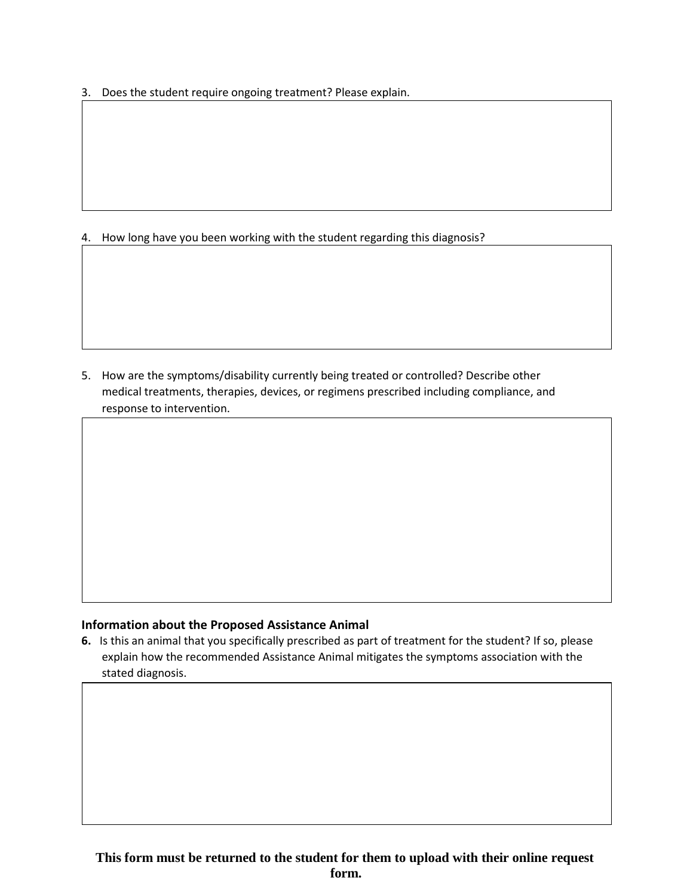3. Does the student require ongoing treatment? Please explain.

4. How long have you been working with the student regarding this diagnosis?

5. How are the symptoms/disability currently being treated or controlled? Describe other medical treatments, therapies, devices, or regimens prescribed including compliance, and response to intervention.

#### **Information about the Proposed Assistance Animal**

 **6.** Is this an animal that you specifically prescribed as part of treatment for the student? If so, please explain how the recommended Assistance Animal mitigates the symptoms association with the stated diagnosis.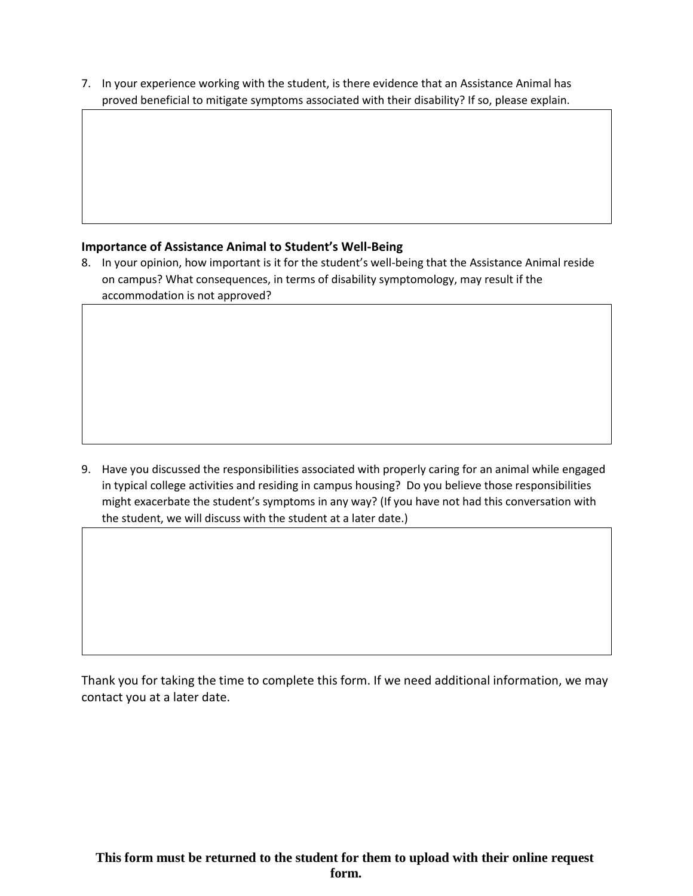7. In your experience working with the student, is there evidence that an Assistance Animal has proved beneficial to mitigate symptoms associated with their disability? If so, please explain.

#### **Importance of Assistance Animal to Student's Well-Being**

8. In your opinion, how important is it for the student's well-being that the Assistance Animal reside on campus? What consequences, in terms of disability symptomology, may result if the accommodation is not approved?

 in typical college activities and residing in campus housing? Do you believe those responsibilities 9. Have you discussed the responsibilities associated with properly caring for an animal while engaged might exacerbate the student's symptoms in any way? (If you have not had this conversation with the student, we will discuss with the student at a later date.)

 Thank you for taking the time to complete this form. If we need additional information, we may contact you at a later date.